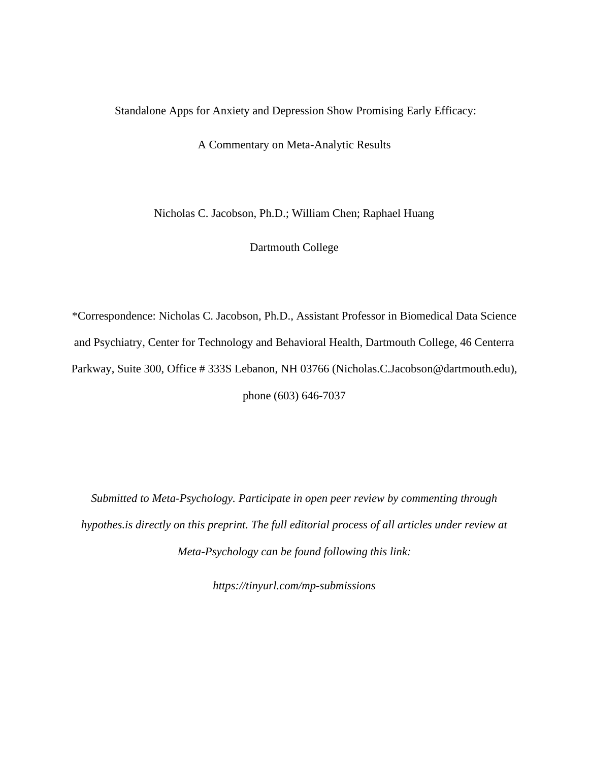# Standalone Apps for Anxiety and Depression Show Promising Early Efficacy:

A Commentary on Meta-Analytic Results

Nicholas C. Jacobson, Ph.D.; William Chen; Raphael Huang

Dartmouth College

\*Correspondence: Nicholas C. Jacobson, Ph.D., Assistant Professor in Biomedical Data Science and Psychiatry, Center for Technology and Behavioral Health, Dartmouth College, 46 Centerra Parkway, Suite 300, Office # 333S Lebanon, NH 03766 (Nicholas.C.Jacobson@dartmouth.edu), phone (603) 646-7037

*Submitted to Meta-Psychology. Participate in open peer review by commenting through hypothes.is directly on this preprint. The full editorial process of all articles under review at Meta-Psychology can be found following this link:*

*https://tinyurl.com/mp-submissions*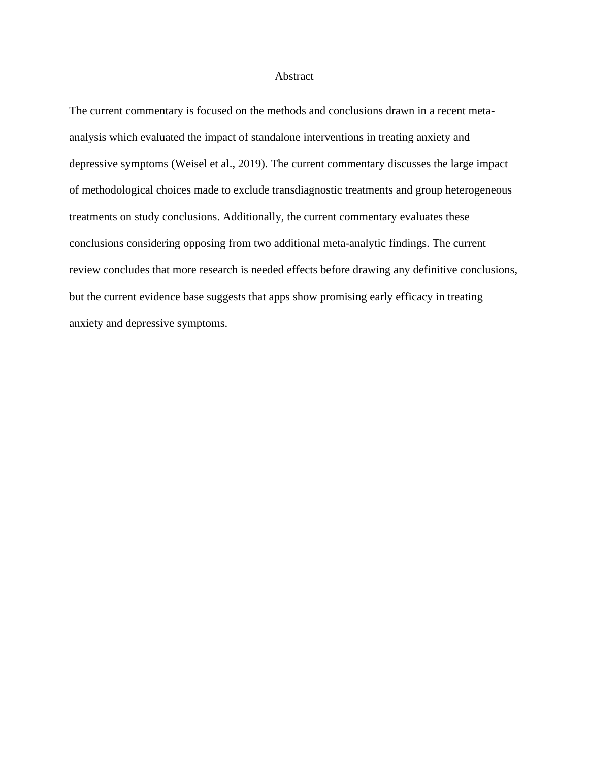## Abstract

The current commentary is focused on the methods and conclusions drawn in a recent metaanalysis which evaluated the impact of standalone interventions in treating anxiety and depressive symptoms (Weisel et al., 2019). The current commentary discusses the large impact of methodological choices made to exclude transdiagnostic treatments and group heterogeneous treatments on study conclusions. Additionally, the current commentary evaluates these conclusions considering opposing from two additional meta-analytic findings. The current review concludes that more research is needed effects before drawing any definitive conclusions, but the current evidence base suggests that apps show promising early efficacy in treating anxiety and depressive symptoms.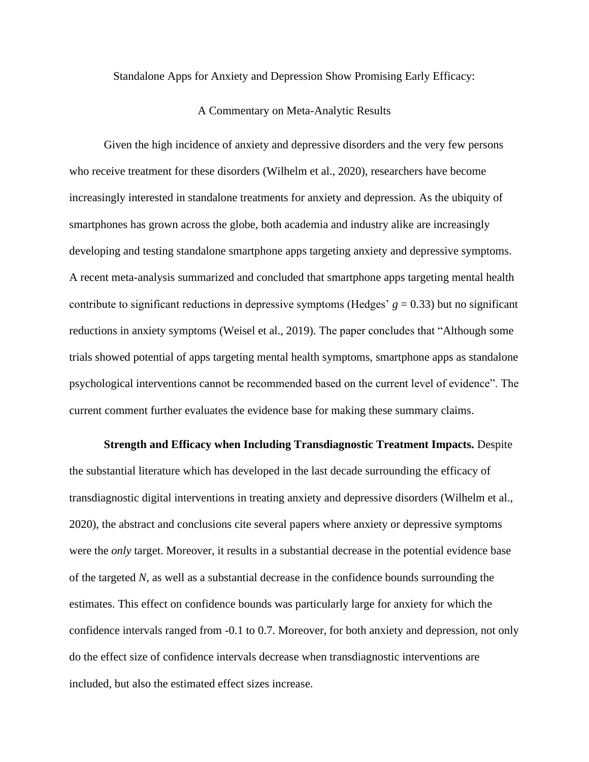Standalone Apps for Anxiety and Depression Show Promising Early Efficacy:

# A Commentary on Meta-Analytic Results

Given the high incidence of anxiety and depressive disorders and the very few persons who receive treatment for these disorders (Wilhelm et al., 2020), researchers have become increasingly interested in standalone treatments for anxiety and depression. As the ubiquity of smartphones has grown across the globe, both academia and industry alike are increasingly developing and testing standalone smartphone apps targeting anxiety and depressive symptoms. A recent meta-analysis summarized and concluded that smartphone apps targeting mental health contribute to significant reductions in depressive symptoms (Hedges'  $g = 0.33$ ) but no significant reductions in anxiety symptoms (Weisel et al., 2019). The paper concludes that "Although some trials showed potential of apps targeting mental health symptoms, smartphone apps as standalone psychological interventions cannot be recommended based on the current level of evidence". The current comment further evaluates the evidence base for making these summary claims.

 **Strength and Efficacy when Including Transdiagnostic Treatment Impacts.** Despite the substantial literature which has developed in the last decade surrounding the efficacy of transdiagnostic digital interventions in treating anxiety and depressive disorders (Wilhelm et al., 2020), the abstract and conclusions cite several papers where anxiety or depressive symptoms were the *only* target. Moreover, it results in a substantial decrease in the potential evidence base of the targeted *N*, as well as a substantial decrease in the confidence bounds surrounding the estimates. This effect on confidence bounds was particularly large for anxiety for which the confidence intervals ranged from -0.1 to 0.7. Moreover, for both anxiety and depression, not only do the effect size of confidence intervals decrease when transdiagnostic interventions are included, but also the estimated effect sizes increase.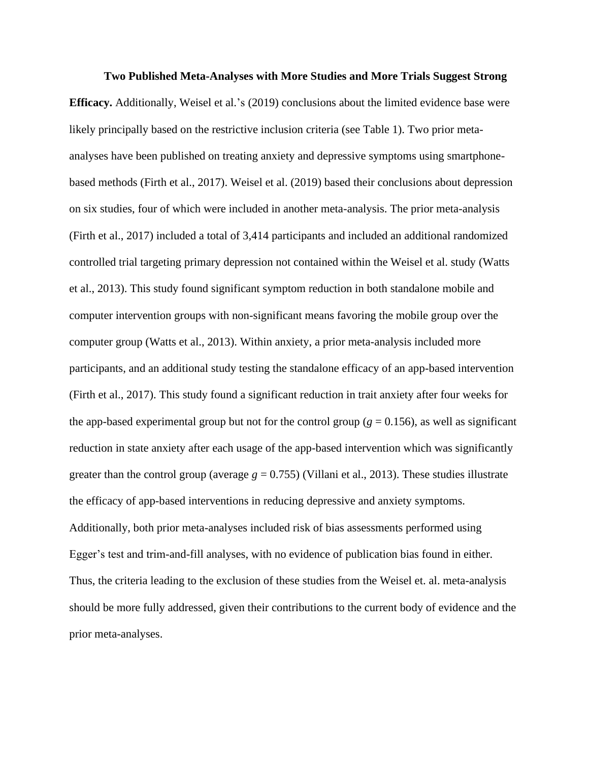# **Two Published Meta-Analyses with More Studies and More Trials Suggest Strong**

**Efficacy.** Additionally, Weisel et al.'s [\(2019\)](https://www.zotero.org/google-docs/?P1NdWY) conclusions about the limited evidence base were likely principally based on the restrictive inclusion criteria (see Table 1). Two prior metaanalyses have been published on treating anxiety and depressive symptoms using smartphonebased methods (Firth et al., 2017). Weisel et al. [\(2019\)](https://www.zotero.org/google-docs/?qmuUsI) based their conclusions about depression on six studies, four of which were included in another meta-analysis. The prior meta-analysis (Firth et al., 2017) included a total of 3,414 participants and included an additional randomized controlled trial targeting primary depression not contained within the Weisel et al. study (Watts et al., 2013). This study found significant symptom reduction in both standalone mobile and computer intervention groups with non-significant means favoring the mobile group over the computer group (Watts et al., 2013). Within anxiety, a prior meta-analysis included more participants, and an additional study testing the standalone efficacy of an app-based intervention (Firth et al., 2017). This study found a significant reduction in trait anxiety after four weeks for the app-based experimental group but not for the control group ( $g = 0.156$ ), as well as significant reduction in state anxiety after each usage of the app-based intervention which was significantly greater than the control group (average  $g = 0.755$ ) (Villani et al., 2013). These studies illustrate the efficacy of app-based interventions in reducing depressive and anxiety symptoms. Additionally, both prior meta-analyses included risk of bias assessments performed using Egger's test and trim-and-fill analyses, with no evidence of publication bias found in either. Thus, the criteria leading to the exclusion of these studies from the Weisel et. al. meta-analysis should be more fully addressed, given their contributions to the current body of evidence and the prior meta-analyses.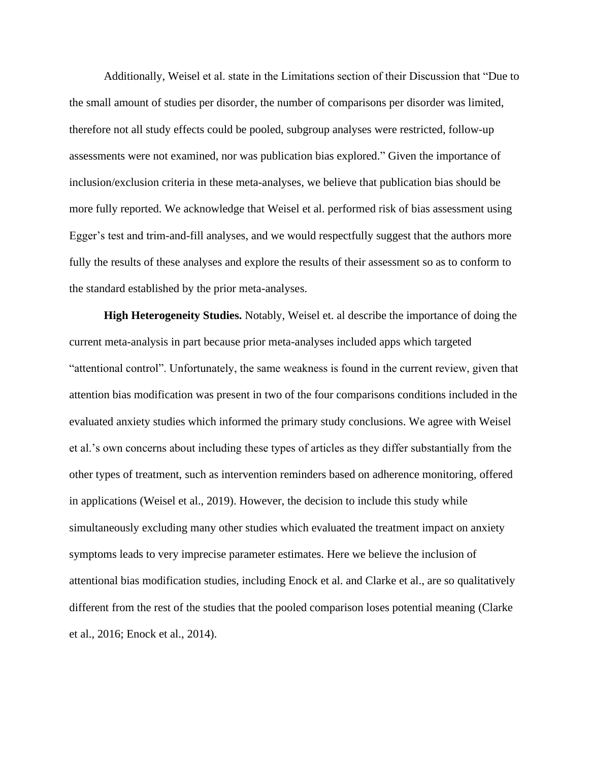Additionally, Weisel et al. state in the Limitations section of their Discussion that "Due to the small amount of studies per disorder, the number of comparisons per disorder was limited, therefore not all study effects could be pooled, subgroup analyses were restricted, follow-up assessments were not examined, nor was publication bias explored." Given the importance of inclusion/exclusion criteria in these meta-analyses, we believe that publication bias should be more fully reported. We acknowledge that Weisel et al. performed risk of bias assessment using Egger's test and trim-and-fill analyses, and we would respectfully suggest that the authors more fully the results of these analyses and explore the results of their assessment so as to conform to the standard established by the prior meta-analyses.

**High Heterogeneity Studies.** Notably, Weisel et. al describe the importance of doing the current meta-analysis in part because prior meta-analyses included apps which targeted "attentional control". Unfortunately, the same weakness is found in the current review, given that attention bias modification was present in two of the four comparisons conditions included in the evaluated anxiety studies which informed the primary study conclusions. We agree with Weisel et al.'s own concerns about including these types of articles as they differ substantially from the other types of treatment, such as intervention reminders based on adherence monitoring, offered in applications (Weisel et al., 2019). However, the decision to include this study while simultaneously excluding many other studies which evaluated the treatment impact on anxiety symptoms leads to very imprecise parameter estimates. Here we believe the inclusion of attentional bias modification studies, including Enock et al. and Clarke et al., are so qualitatively different from the rest of the studies that the pooled comparison loses potential meaning (Clarke et al., 2016; Enock et al., 2014).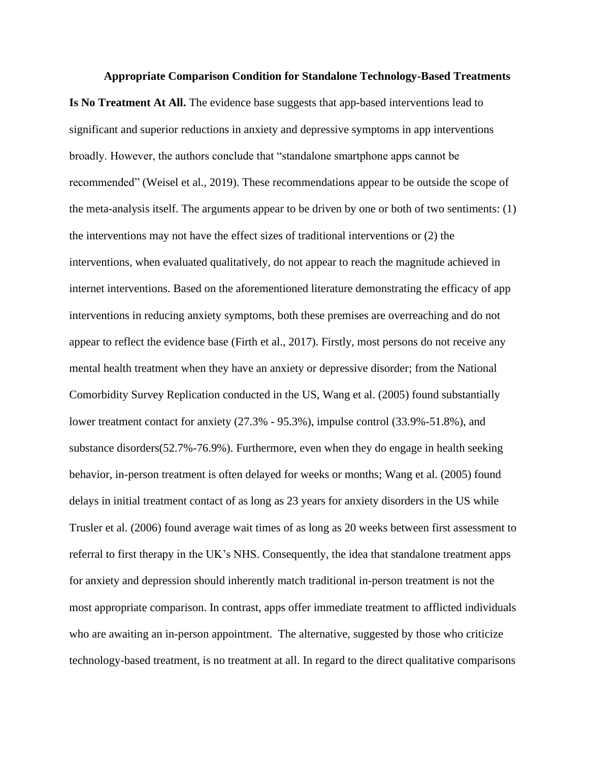#### **Appropriate Comparison Condition for Standalone Technology-Based Treatments**

**Is No Treatment At All.** The evidence base suggests that app-based interventions lead to significant and superior reductions in anxiety and depressive symptoms in app interventions broadly. However, the authors conclude that "standalone smartphone apps cannot be recommended" (Weisel et al., 2019). These recommendations appear to be outside the scope of the meta-analysis itself. The arguments appear to be driven by one or both of two sentiments: (1) the interventions may not have the effect sizes of traditional interventions or (2) the interventions, when evaluated qualitatively, do not appear to reach the magnitude achieved in internet interventions. Based on the aforementioned literature demonstrating the efficacy of app interventions in reducing anxiety symptoms, both these premises are overreaching and do not appear to reflect the evidence base (Firth et al., 2017). Firstly, most persons do not receive any mental health treatment when they have an anxiety or depressive disorder; from the National Comorbidity Survey Replication conducted in the US, Wang et al. (2005) found substantially lower treatment contact for anxiety (27.3% - 95.3%), impulse control (33.9%-51.8%), and substance disorders(52.7%-76.9%). Furthermore, even when they do engage in health seeking behavior, in-person treatment is often delayed for weeks or months; Wang et al. (2005) found delays in initial treatment contact of as long as 23 years for anxiety disorders in the US while [Trusler et al.](https://www.zotero.org/google-docs/?3pKTSU) (2006) found average wait times of as long as 20 weeks between first assessment to referral to first therapy in the UK's NHS. Consequently, the idea that standalone treatment apps for anxiety and depression should inherently match traditional in-person treatment is not the most appropriate comparison. In contrast, apps offer immediate treatment to afflicted individuals who are awaiting an in-person appointment. The alternative, suggested by those who criticize technology-based treatment, is no treatment at all. In regard to the direct qualitative comparisons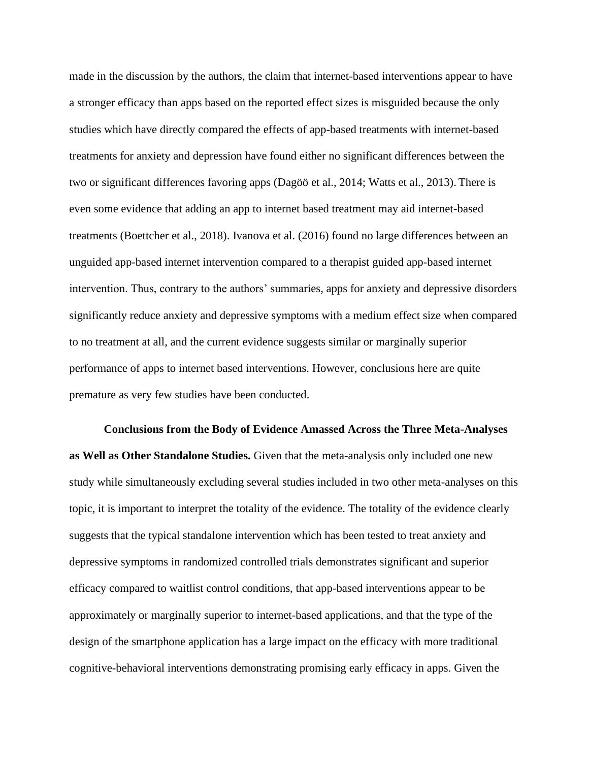made in the discussion by the authors, the claim that internet-based interventions appear to have a stronger efficacy than apps based on the reported effect sizes is misguided because the only studies which have directly compared the effects of app-based treatments with internet-based treatments for anxiety and depression have found either no significant differences between the two or significant differences favoring apps (Dagöö et al., 2014; Watts et al., 2013). There is even some evidence that adding an app to internet based treatment may aid internet-based treatments (Boettcher et al., 2018). Ivanova et al. [\(2016\)](https://www.zotero.org/google-docs/?tWQyFi) found no large differences between an unguided app-based internet intervention compared to a therapist guided app-based internet intervention. Thus, contrary to the authors' summaries, apps for anxiety and depressive disorders significantly reduce anxiety and depressive symptoms with a medium effect size when compared to no treatment at all, and the current evidence suggests similar or marginally superior performance of apps to internet based interventions. However, conclusions here are quite premature as very few studies have been conducted.

**Conclusions from the Body of Evidence Amassed Across the Three Meta-Analyses as Well as Other Standalone Studies.** Given that the meta-analysis only included one new study while simultaneously excluding several studies included in two other meta-analyses on this topic, it is important to interpret the totality of the evidence. The totality of the evidence clearly suggests that the typical standalone intervention which has been tested to treat anxiety and depressive symptoms in randomized controlled trials demonstrates significant and superior efficacy compared to waitlist control conditions, that app-based interventions appear to be approximately or marginally superior to internet-based applications, and that the type of the design of the smartphone application has a large impact on the efficacy with more traditional cognitive-behavioral interventions demonstrating promising early efficacy in apps. Given the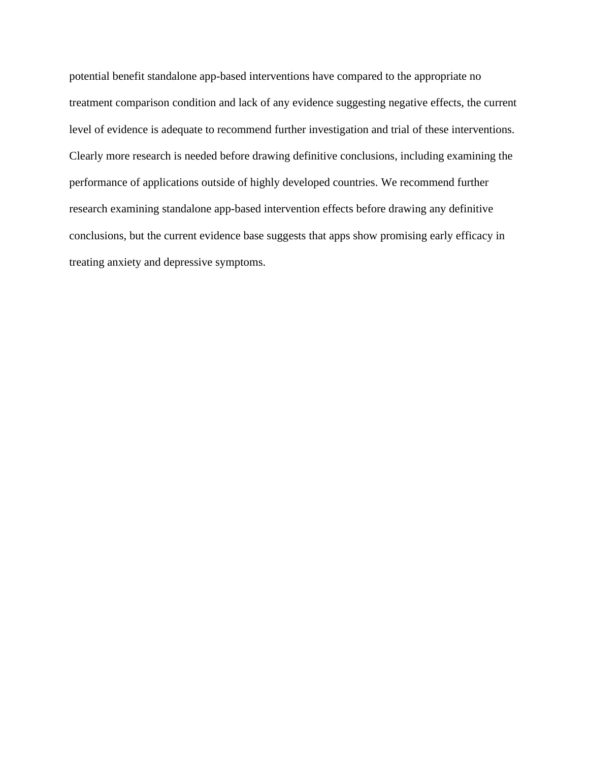potential benefit standalone app-based interventions have compared to the appropriate no treatment comparison condition and lack of any evidence suggesting negative effects, the current level of evidence is adequate to recommend further investigation and trial of these interventions. Clearly more research is needed before drawing definitive conclusions, including examining the performance of applications outside of highly developed countries. We recommend further research examining standalone app-based intervention effects before drawing any definitive conclusions, but the current evidence base suggests that apps show promising early efficacy in treating anxiety and depressive symptoms.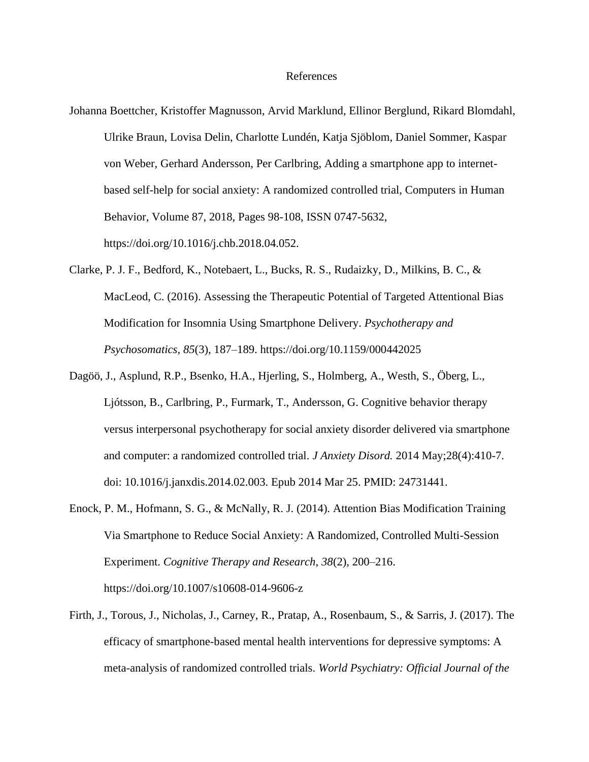### References

- Johanna Boettcher, Kristoffer Magnusson, Arvid Marklund, Ellinor Berglund, Rikard Blomdahl, Ulrike Braun, Lovisa Delin, Charlotte Lundén, Katja Sjöblom, Daniel Sommer, Kaspar von Weber, Gerhard Andersson, Per Carlbring, Adding a smartphone app to internetbased self-help for social anxiety: A randomized controlled trial, Computers in Human Behavior, Volume 87, 2018, Pages 98-108, ISSN 0747-5632, https://doi.org/10.1016/j.chb.2018.04.052.
- [Clarke, P. J. F., Bedford, K., Notebaert, L., Bucks, R. S., Rudaizky, D., Milkins, B. C., &](https://www.zotero.org/google-docs/?nsvGQS)  [MacLeod, C. \(2016\). Assessing the Therapeutic Potential of Targeted Attentional Bias](https://www.zotero.org/google-docs/?nsvGQS)  [Modification for Insomnia Using Smartphone Delivery.](https://www.zotero.org/google-docs/?nsvGQS) *[Psychotherapy and](https://www.zotero.org/google-docs/?nsvGQS)  [Psychosomatics](https://www.zotero.org/google-docs/?nsvGQS)*[,](https://www.zotero.org/google-docs/?nsvGQS) *[85](https://www.zotero.org/google-docs/?nsvGQS)*[\(3\), 187–189. https://doi.org/10.1159/000442025](https://www.zotero.org/google-docs/?nsvGQS)
- Dagöö, J., Asplund, R.P., Bsenko, H.A., Hjerling, S., Holmberg, A., Westh, S., Öberg, L., Ljótsson, B., Carlbring, P., Furmark, T., Andersson, G. Cognitive behavior therapy versus interpersonal psychotherapy for social anxiety disorder delivered via smartphone and computer: a randomized controlled trial. *J Anxiety Disord.* 2014 May;28(4):410-7. doi: 10.1016/j.janxdis.2014.02.003. Epub 2014 Mar 25. PMID: 24731441.
- [Enock, P. M., Hofmann, S. G., & McNally, R. J. \(2014\). Attention Bias Modification Training](https://www.zotero.org/google-docs/?nsvGQS)  [Via Smartphone to Reduce Social Anxiety: A Randomized, Controlled Multi-Session](https://www.zotero.org/google-docs/?nsvGQS)  [Experiment.](https://www.zotero.org/google-docs/?nsvGQS) *[Cognitive Therapy and Research](https://www.zotero.org/google-docs/?nsvGQS)*[,](https://www.zotero.org/google-docs/?nsvGQS) *[38](https://www.zotero.org/google-docs/?nsvGQS)*[\(2\), 200–216.](https://www.zotero.org/google-docs/?nsvGQS)  [https://doi.org/10.1007/s10608-014-9606-z](https://www.zotero.org/google-docs/?nsvGQS)
- [Firth, J., Torous, J., Nicholas, J., Carney, R., Pratap, A., Rosenbaum, S., & Sarris, J. \(2017\). The](https://www.zotero.org/google-docs/?nsvGQS)  [efficacy of smartphone-based mental health interventions for depressive symptoms: A](https://www.zotero.org/google-docs/?nsvGQS)  [meta-analysis of randomized controlled trials.](https://www.zotero.org/google-docs/?nsvGQS) *[World Psychiatry: Official Journal of the](https://www.zotero.org/google-docs/?nsvGQS)*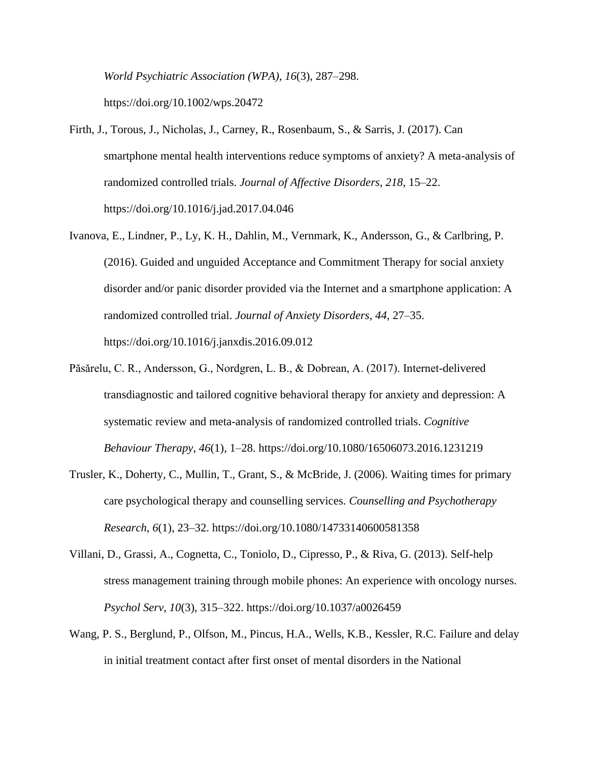*[World Psychiatric Association \(WPA\)](https://www.zotero.org/google-docs/?nsvGQS)*[,](https://www.zotero.org/google-docs/?nsvGQS) *[16](https://www.zotero.org/google-docs/?nsvGQS)*[\(3\), 287–298.](https://www.zotero.org/google-docs/?nsvGQS) 

[https://doi.org/10.1002/wps.20472](https://www.zotero.org/google-docs/?nsvGQS)

- [Firth, J., Torous, J., Nicholas, J., Carney, R., Rosenbaum, S., & Sarris, J. \(2017\). Can](https://www.zotero.org/google-docs/?nsvGQS)  [smartphone mental health interventions reduce symptoms of anxiety? A meta-analysis of](https://www.zotero.org/google-docs/?nsvGQS)  [randomized controlled trials.](https://www.zotero.org/google-docs/?nsvGQS) *[Journal of Affective Disorders](https://www.zotero.org/google-docs/?nsvGQS)*[,](https://www.zotero.org/google-docs/?nsvGQS) *[218](https://www.zotero.org/google-docs/?nsvGQS)*[, 15–22.](https://www.zotero.org/google-docs/?nsvGQS)  [https://doi.org/10.1016/j.jad.2017.04.046](https://www.zotero.org/google-docs/?nsvGQS)
- [Ivanova, E., Lindner, P., Ly, K. H., Dahlin, M., Vernmark, K., Andersson, G., & Carlbring, P.](https://www.zotero.org/google-docs/?nsvGQS)  [\(2016\). Guided and unguided Acceptance and Commitment Therapy for social anxiety](https://www.zotero.org/google-docs/?nsvGQS)  [disorder and/or panic disorder provided via the Internet and a smartphone application: A](https://www.zotero.org/google-docs/?nsvGQS)  [randomized controlled trial.](https://www.zotero.org/google-docs/?nsvGQS) *[Journal of Anxiety Disorders](https://www.zotero.org/google-docs/?nsvGQS)*[,](https://www.zotero.org/google-docs/?nsvGQS) *[44](https://www.zotero.org/google-docs/?nsvGQS)*[, 27–35.](https://www.zotero.org/google-docs/?nsvGQS)  [https://doi.org/10.1016/j.janxdis.2016.09.012](https://www.zotero.org/google-docs/?nsvGQS)
- [Păsărelu, C. R., Andersson, G., Nordgren, L. B., & Dobrean, A. \(2017\). Internet-delivered](https://www.zotero.org/google-docs/?nsvGQS)  [transdiagnostic and tailored cognitive behavioral therapy for anxiety and depression: A](https://www.zotero.org/google-docs/?nsvGQS)  [systematic review and meta-analysis of randomized controlled trials.](https://www.zotero.org/google-docs/?nsvGQS) *[Cognitive](https://www.zotero.org/google-docs/?nsvGQS)  [Behaviour Therapy](https://www.zotero.org/google-docs/?nsvGQS)*[,](https://www.zotero.org/google-docs/?nsvGQS) *[46](https://www.zotero.org/google-docs/?nsvGQS)*[\(1\), 1–28. https://doi.org/10.1080/16506073.2016.1231219](https://www.zotero.org/google-docs/?nsvGQS)
- [Trusler, K., Doherty, C., Mullin, T., Grant, S., & McBride, J. \(2006\). Waiting times for primary](https://www.zotero.org/google-docs/?nsvGQS)  [care psychological therapy and counselling services.](https://www.zotero.org/google-docs/?nsvGQS) *[Counselling and Psychotherapy](https://www.zotero.org/google-docs/?nsvGQS)  [Research](https://www.zotero.org/google-docs/?nsvGQS)*[,](https://www.zotero.org/google-docs/?nsvGQS) *[6](https://www.zotero.org/google-docs/?nsvGQS)*[\(1\), 23–32. https://doi.org/10.1080/14733140600581358](https://www.zotero.org/google-docs/?nsvGQS)
- [Villani, D., Grassi, A., Cognetta, C., Toniolo, D., Cipresso, P., & Riva, G. \(2013\). Self-help](https://www.zotero.org/google-docs/?nsvGQS)  [stress management training through mobile phones: An experience with oncology nurses.](https://www.zotero.org/google-docs/?nsvGQS)  *[Psychol Serv](https://www.zotero.org/google-docs/?nsvGQS)*[,](https://www.zotero.org/google-docs/?nsvGQS) *[10](https://www.zotero.org/google-docs/?nsvGQS)*[\(3\), 315–322. https://doi.org/10.1037/a0026459](https://www.zotero.org/google-docs/?nsvGQS)
- Wang, P. S., Berglund, P., Olfson, M., Pincus, H.A., Wells, K.B., Kessler, R.C. Failure and delay in initial treatment contact after first onset of mental disorders in the National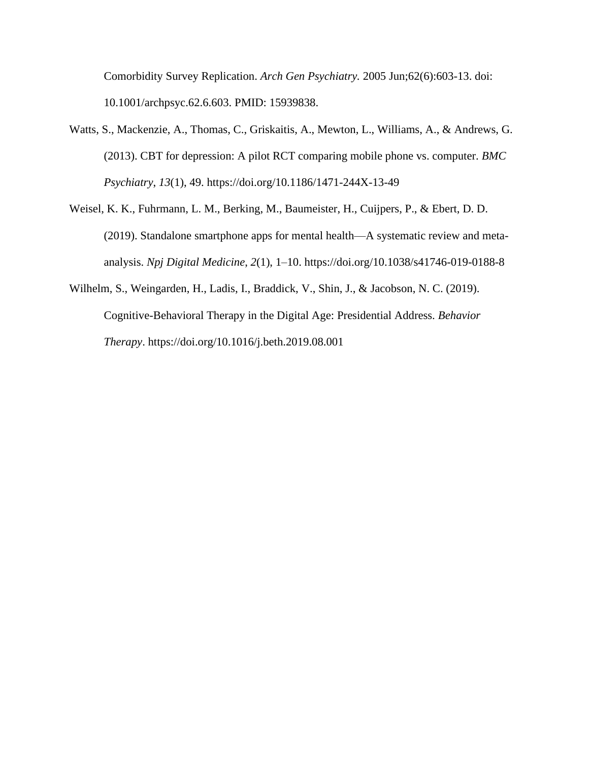Comorbidity Survey Replication. *Arch Gen Psychiatry.* 2005 Jun;62(6):603-13. doi: 10.1001/archpsyc.62.6.603. PMID: 15939838.

- Watts, S., Mackenzie, A., Thomas, C., Griskaitis, A., Mewton, L., Williams, A., & Andrews, G. (2013). CBT for depression: A pilot RCT comparing mobile phone vs. computer. *[BMC](https://www.zotero.org/google-docs/?nsvGQS)  [Psychiatry](https://www.zotero.org/google-docs/?nsvGQS)*[,](https://www.zotero.org/google-docs/?nsvGQS) *[13](https://www.zotero.org/google-docs/?nsvGQS)*[\(1\), 49. https://doi.org/10.1186/1471-244X-13-49](https://www.zotero.org/google-docs/?nsvGQS)
- [Weisel, K. K., Fuhrmann, L. M., Berking, M., Baumeister, H., Cuijpers, P., & Ebert, D. D.](https://www.zotero.org/google-docs/?nsvGQS)  [\(2019\). Standalone smartphone apps for mental health—A systematic review and meta](https://www.zotero.org/google-docs/?nsvGQS)[analysis.](https://www.zotero.org/google-docs/?nsvGQS) *[Npj Digital Medicine](https://www.zotero.org/google-docs/?nsvGQS)*[,](https://www.zotero.org/google-docs/?nsvGQS) *[2](https://www.zotero.org/google-docs/?nsvGQS)*[\(1\), 1–10. https://doi.org/10.1038/s41746-019-0188-8](https://www.zotero.org/google-docs/?nsvGQS)
- [Wilhelm, S., Weingarden, H., Ladis, I., Braddick, V., Shin, J., & Jacobson, N. C. \(2019\).](https://www.zotero.org/google-docs/?nsvGQS)  [Cognitive-Behavioral Therapy in the Digital Age: Presidential Address.](https://www.zotero.org/google-docs/?nsvGQS) *[Behavior](https://www.zotero.org/google-docs/?nsvGQS)  [Therapy](https://www.zotero.org/google-docs/?nsvGQS)*[. https://doi.org/10.1016/j.beth.2019.08.001](https://www.zotero.org/google-docs/?nsvGQS)